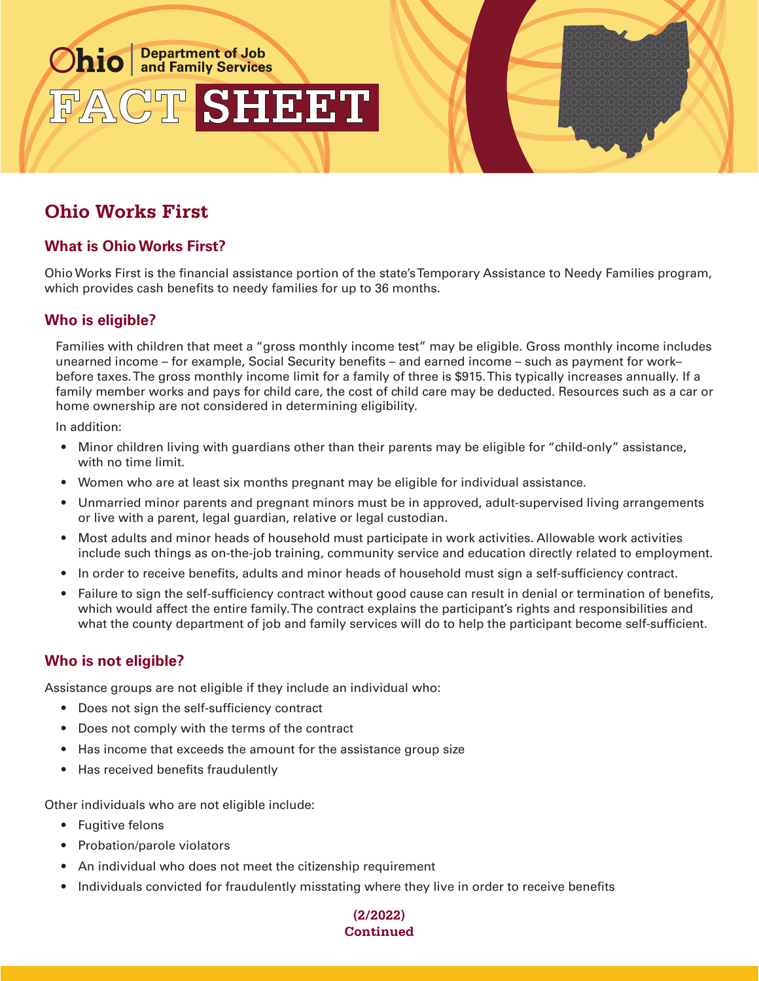

# **Ohio Works First**

### **What is Ohio Works First?**

Ohio Works First is the financial assistance portion of the state's Temporary Assistance to Needy Families program, which provides cash benefits to needy families for up to 36 months.

#### **Who is eligible?**

Families with children that meet a "gross monthly income test" may be eligible. Gross monthly income includes unearned income – for example, Social Security benefits – and earned income – such as payment for work– before taxes. The gross monthly income limit for a family of three is \$915. This typically increases annually. If a family member works and pays for child care, the cost of child care may be deducted. Resources such as a car or home ownership are not considered in determining eligibility.

In addition:

- Minor children living with guardians other than their parents may be eligible for "child-only" assistance, with no time limit.
- Women who are at least six months pregnant may be eligible for individual assistance.
- Unmarried minor parents and pregnant minors must be in approved, adult-supervised living arrangements or live with a parent, legal guardian, relative or legal custodian.
- Most adults and minor heads of household must participate in work activities. Allowable work activities include such things as on-the-job training, community service and education directly related to employment.
- In order to receive benefits, adults and minor heads of household must sign a self-sufficiency contract.
- Failure to sign the self-sufficiency contract without good cause can result in denial or termination of benefits, which would affect the entire family. The contract explains the participant's rights and responsibilities and what the county department of job and family services will do to help the participant become self-sufficient.

#### **Who is not eligible?**

Assistance groups are not eligible if they include an individual who:

- Does not sign the self-sufficiency contract
- Does not comply with the terms of the contract
- Has income that exceeds the amount for the assistance group size
- Has received benefits fraudulently

Other individuals who are not eligible include:

- Fugitive felons
- Probation/parole violators
- An individual who does not meet the citizenship requirement
- Individuals convicted for fraudulently misstating where they live in order to receive benefits